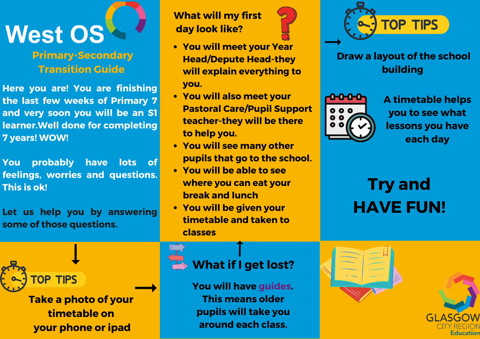

#### **Primary-Secondary Transition Guide**

**Here you are! You are finishing the last few weeks of Primary 7 and very soon you will be an S1 learner.Well done for completing 7 years! WOW!**

**You probably have lots of feelings, worries and questions. This is ok!**

**Let us help you by answering some of those questions.**

> **OP TIPS Take a photo of your**

**timetable on your phone or ipad** **What will my first day look like?**



- **You will meet your Year Head/Depute Head-they will explain everything to you.**
- **You will also meet your Pastoral Care/Pupil Support teacher-they will be there to help you.**
- **You will see many other pupils that go to the school.**
- **You will be able to see where you can eat your break and lunch**
- **You will be given your timetable and taken to classes**



### **Draw a layout of the school building**



**A timetable helps you to see what lessons you have each day**

# **Try and HAVE FUN!**

## **What if I get lost?**

**You will have guides. This means older pupils will take you around each class.**